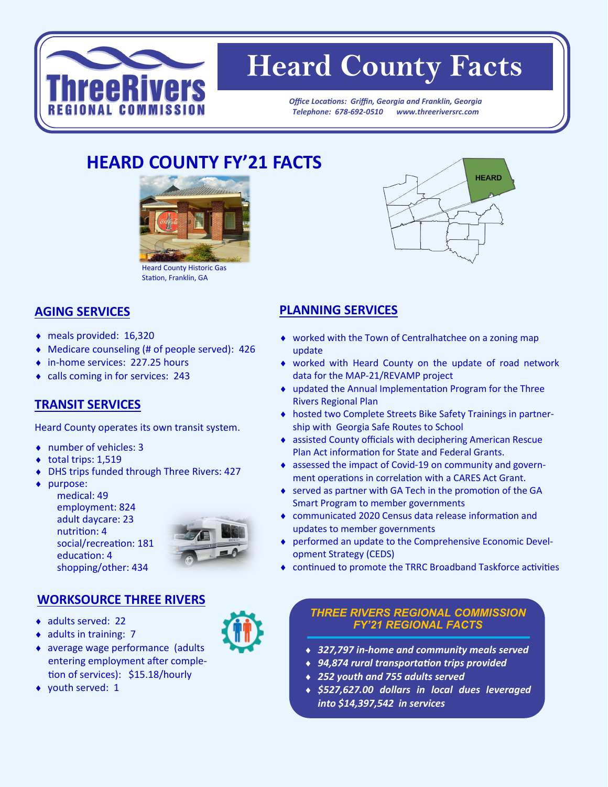

# **Heard County Facts**

*Office Locations: Griffin, Georgia and Franklin, Georgia Telephone: 678-692-0510 www.threeriversrc.com*

# **HEARD COUNTY FY'21 FACTS**



### **AGING SERVICES**

- meals provided: 16,320
- Medicare counseling (# of people served): 426
- ◆ in-home services: 227.25 hours
- calls coming in for services: 243

#### **TRANSIT SERVICES**

Heard County operates its own transit system.

- number of vehicles: 3
- $\bullet$  total trips: 1,519
- DHS trips funded through Three Rivers: 427
- purpose:
	- medical: 49 employment: 824 adult daycare: 23 nutrition: 4 social/recreation: 181 education: 4 shopping/other: 434



#### **WORKSOURCE THREE RIVERS**

- ◆ adults served: 22
- $\bullet$  adults in training: 7
- average wage performance (adults entering employment after completion of services): \$15.18/hourly
- ◆ youth served: 1



## **PLANNING SERVICES**

- worked with the Town of Centralhatchee on a zoning map update
- worked with Heard County on the update of road network data for the MAP-21/REVAMP project
- updated the Annual Implementation Program for the Three Rivers Regional Plan
- hosted two Complete Streets Bike Safety Trainings in partnership with Georgia Safe Routes to School
- assisted County officials with deciphering American Rescue Plan Act information for State and Federal Grants.
- assessed the impact of Covid-19 on community and government operations in correlation with a CARES Act Grant.
- served as partner with GA Tech in the promotion of the GA Smart Program to member governments
- communicated 2020 Census data release information and updates to member governments
- performed an update to the Comprehensive Economic Development Strategy (CEDS)
- continued to promote the TRRC Broadband Taskforce activities

#### *THREE RIVERS REGIONAL COMMISSION FY'21 REGIONAL FACTS*

- *327,797 in-home and community meals served*
- *94,874 rural transportation trips provided*
- *252 youth and 755 adults served*
- *\$527,627.00 dollars in local dues leveraged into \$14,397,542 in services*